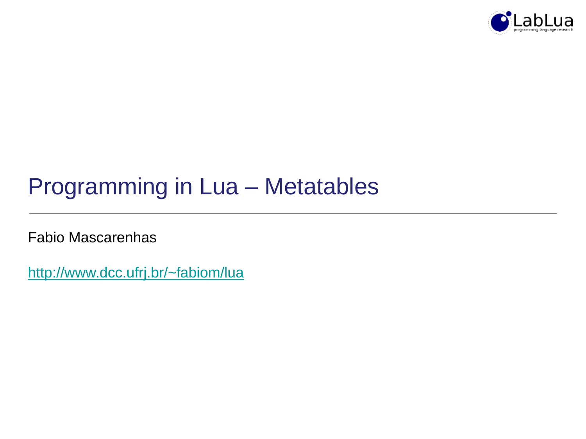

### Programming in Lua – Metatables

Fabio Mascarenhas

<http://www.dcc.ufrj.br/~fabiom/lua>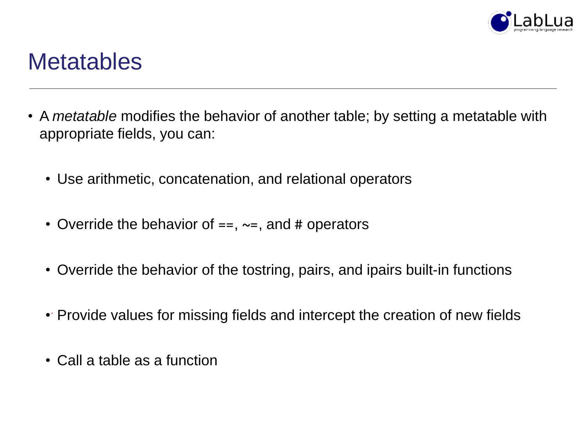

#### **Metatables**

- A *metatable* modifies the behavior of another table; by setting a metatable with appropriate fields, you can:
	- Use arithmetic, concatenation, and relational operators
	- Override the behavior of  $==, \sim=,$  and # operators
	- Override the behavior of the tostring, pairs, and ipairs built-in functions
	- Provide values for missing fields and intercept the creation of new fields
	- Call a table as a function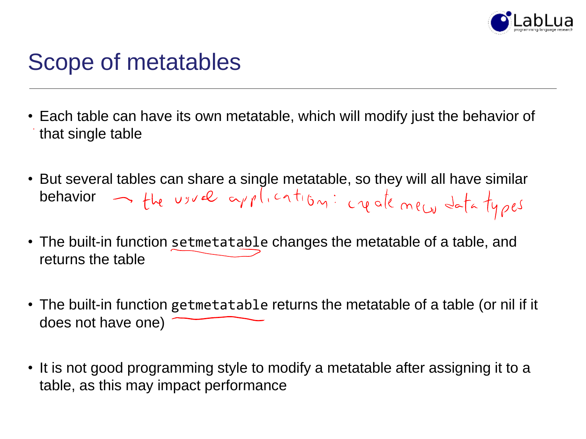

### Scope of metatables

- Each table can have its own metatable, which will modify just the behavior of that single table
- But several tables can share a single metatable, so they will all have similar behavior  $\rightarrow$  the usual application: createment data types
- The built-in function setmetatable changes the metatable of a table, and returns the table
- The built-in function getmetatable returns the metatable of a table (or nil if it does not have one)
- It is not good programming style to modify a metatable after assigning it to a table, as this may impact performance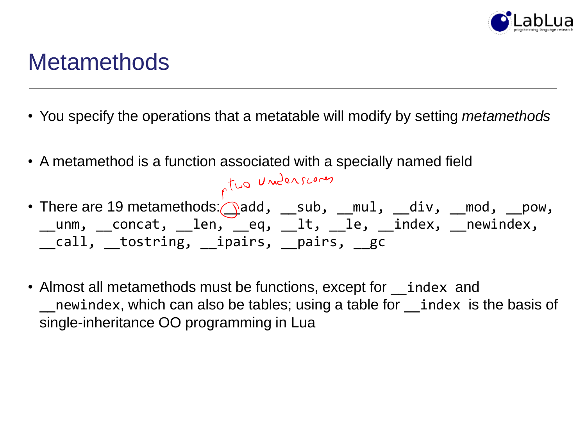

#### **Metamethods**

- You specify the operations that a metatable will modify by setting *metamethods*
- A metamethod is a function associated with a specially named field

• There are 19 metamethods: add, \_\_sub, \_\_mul, \_\_div, \_\_mod, \_\_pow, \_\_unm, \_\_concat, \_\_len, \_\_eq, \_\_lt, \_\_le, \_\_index, \_\_newindex, call,  $\;$  tostring,  $\;$  ipairs,  $\;$   $\;$  pairs,  $\;$   $\;$   $\;$  gc

• Almost all metamethods must be functions, except for index and newindex, which can also be tables; using a table for *index* is the basis of single-inheritance OO programming in Lua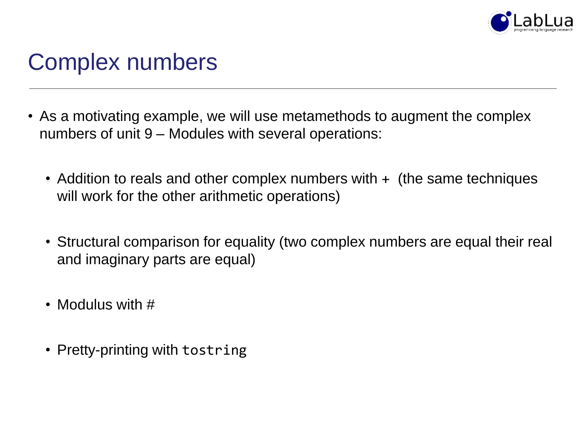

### Complex numbers

- As a motivating example, we will use metamethods to augment the complex numbers of unit 9 – Modules with several operations:
	- Addition to reals and other complex numbers with + (the same techniques will work for the other arithmetic operations)
	- Structural comparison for equality (two complex numbers are equal their real and imaginary parts are equal)
	- Modulus with #
	- Pretty-printing with tostring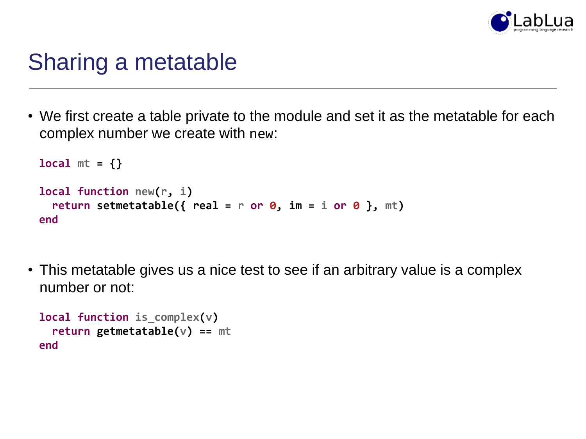

#### Sharing a metatable

• We first create a table private to the module and set it as the metatable for each complex number we create with new:

```
local mt = {}
local function new(r, i)
 return setmetatable({ real = r or 0, im = i or 0 }, mt)
end
```
• This metatable gives us a nice test to see if an arbitrary value is a complex number or not:

```
local function is_complex(v)
  return getmetatable(v) == mt
end
```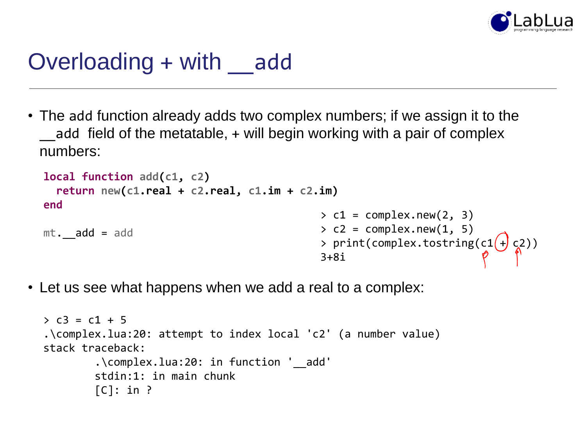

### Overloading + with \_add

• The add function already adds two complex numbers; if we assign it to the add field of the metatable, + will begin working with a pair of complex numbers:

```
local function add(c1, c2)
  return new(c1.real + c2.real, c1.im + c2.im)
end
mt. add = add
                                                  > c1 = complex.new(2, 3)> c2 = complex.new(1, 5)> cz = compressions, =,<br>> print(complex.tostring(c1 + c2))
                                                  3+8i
```
• Let us see what happens when we add a real to a complex:

```
> c3 = c1 + 5.\complex.lua:20: attempt to index local 'c2' (a number value)
stack traceback:
        .\complex.lua:20: in function '__add'
        stdin:1: in main chunk
        [C]: in ?
```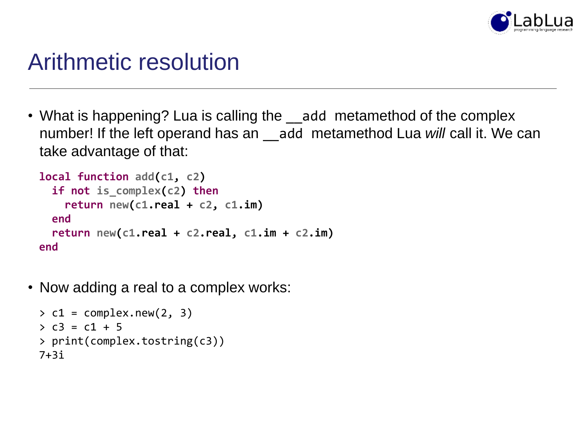

### Arithmetic resolution

• What is happening? Lua is calling the \_\_add metamethod of the complex number! If the left operand has an \_\_add metamethod Lua *will* call it. We can take advantage of that:

```
local function add(c1, c2)
  if not is_complex(c2) then
    return new(c1.real + c2, c1.im)
  end
 return new(c1.real + c2.real, c1.im + c2.im)
end
```
• Now adding a real to a complex works:

```
> c1 = complex.new(2, 3)> c3 = c1 + 5> print(complex.tostring(c3))
7+3i
```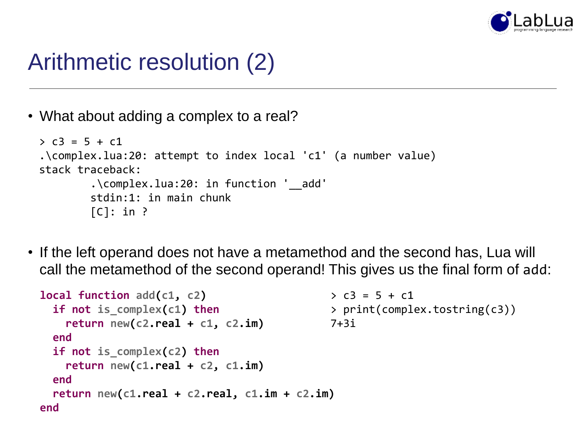

### Arithmetic resolution (2)

• What about adding a complex to a real?

```
> c3 = 5 + c1.\complex.lua:20: attempt to index local 'c1' (a number value)
stack traceback:
        .\complex.lua:20: in function '__add'
        stdin:1: in main chunk
        [C]: in ?
```
• If the left operand does not have a metamethod and the second has, Lua will call the metamethod of the second operand! This gives us the final form of add:

```
local function add(c1, c2)
  if not is_complex(c1) then
    return new(c2.real + c1, c2.im)
  end
  if not is_complex(c2) then
    return new(c1.real + c2, c1.im)
  end
  return new(c1.real + c2.real, c1.im + c2.im)
end
                                              > c3 = 5 + c1> print(complex.tostring(c3))
                                              7+3i
```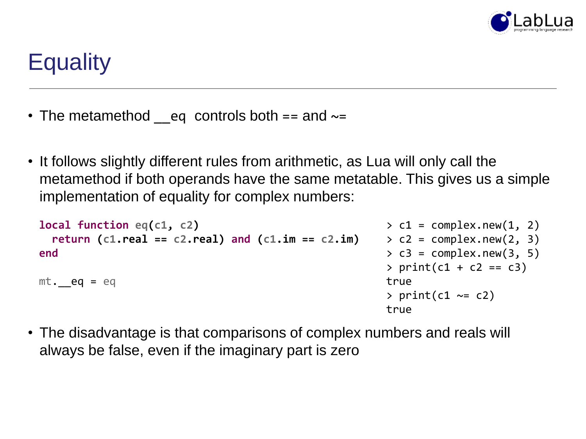

## **Equality**

- The metamethod eq controls both  $==$  and  $\sim=$
- It follows slightly different rules from arithmetic, as Lua will only call the metamethod if both operands have the same metatable. This gives us a simple implementation of equality for complex numbers:

```
local function eq(c1, c2)
  return (c1.real == c2.real) and (c1.im == c2.im)
end
mt. eq = eq
                                                       > c1 = complex.new(1, 2)> c2 = complex.new(2, 3)> c3 = complex.new(3, 5)> print(c1 + c2 == c3)true
                                                       > print(c1 \sim= c2)
                                                       true
```
• The disadvantage is that comparisons of complex numbers and reals will always be false, even if the imaginary part is zero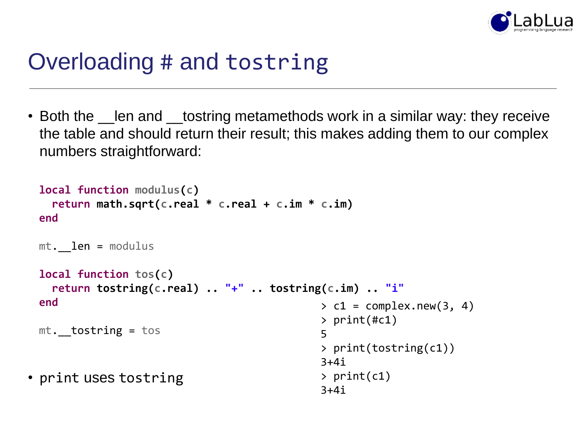

### Overloading # and tostring

• Both the \_\_len and \_\_tostring metamethods work in a similar way: they receive the table and should return their result; this makes adding them to our complex numbers straightforward:

```
• print uses tostring
 local function modulus(c)
   return math.sqrt(c.real * c.real + c.im * c.im)
 end
 mt. len = modulus
 local function tos(c)
   return tostring(c.real) .. "+" .. tostring(c.im) .. "i"
 end
 mt. tostring = tos
                                              > c1 = complex.new(3, 4)> print(#c1)
                                              5
                                              > print(tostring(c1))
                                              3+4i
                                              > print(c1)
                                              3+4i
```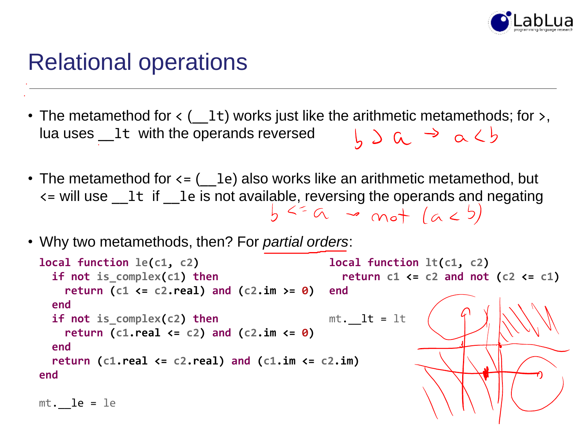

#### Relational operations

- The metamethod for  $\leftarrow$  ( $\_1$ t) works just like the arithmetic metamethods; for  $\rightarrow$ , lua uses Lt with the operands reversed  $h \geqslant a \Rightarrow a \leqslant b$
- The metamethod for  $\leq (-1e)$  also works like an arithmetic metamethod, but  $\epsilon$  = will use \_1t if \_1e is not available, reversing the operands and negating<br> $\frac{1}{2}$   $\frac{1}{2}$   $\frac{1}{2}$   $\frac{1}{2}$   $\frac{1}{2}$   $\frac{1}{2}$   $\frac{1}{2}$   $\frac{1}{2}$   $\frac{1}{2}$   $\frac{1}{2}$   $\frac{1}{2}$   $\frac{1}{2}$   $\frac{1}{2}$   $\frac{1}{2}$
- Why two metamethods, then? For *partial orders*:

```
local function le(c1, c2)
  if not is_complex(c1) then
    return (c1 <= c2.real) and (c2.im >= 0)
  end
  if not is_complex(c2) then
    return (c1.real <= c2) and (c2.im <= 0)
  end
  return (c1.real <= c2.real) and (c1.im <= c2.im)
end
m_t. le = le
                                              local function lt(c1, c2)
                                                return c1 <= c2 and not (c2 <= c1)
                                              end
                                              mt. lt = 1t
```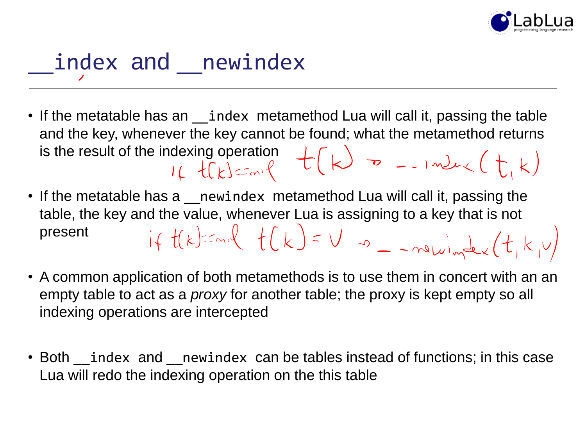

# index and newindex

- If the metatable has an \_\_index metamethod Lua will call it, passing the table and the key, whenever the key cannot be found; what the metamethod returns is the result of the indexing operation<br> $\iota_k$   $\iota_k$   $\iota_k$   $\iota_k$   $\iota_k$   $\iota_k$   $\iota_k$   $\iota_k$   $\iota_k$   $\iota_k$   $\iota_k$   $\iota_k$   $\iota_k$   $\iota_k$   $\iota_k$   $\iota_k$   $\iota_k$   $\iota_k$   $\iota_k$   $\iota_k$   $\iota_k$   $\iota_k$   $\iota_k$   $\iota_k$   $\iota_k$   $\iota_k$
- If the metatable has a *\_\_newindex* metamethod Lua will call it, passing the table, the key and the value, whenever Lua is assigning to a key that is not<br>present  $i \notin \{f(k) \leq m \}$   $\left\{ \binom{k}{k} \right\} = \bigvee_{k=0}^{\infty} \left( \frac{1}{k} \sum_{k=0}^{\infty} \binom{k}{k} \right)$ present
- A common application of both metamethods is to use them in concert with an an empty table to act as a *proxy* for another table; the proxy is kept empty so all indexing operations are intercepted
- Both \_\_index and \_\_newindex can be tables instead of functions; in this case Lua will redo the indexing operation on the this table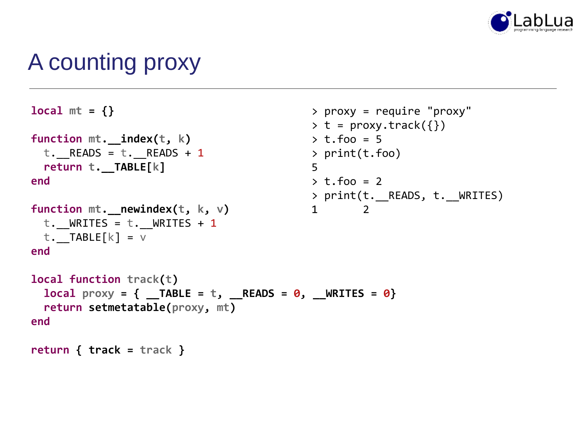

### A counting proxy

```
local mt = {}
function mt.__index(t, k)
 t. READS = t. READS + 1
 return t.__TABLE[k]
end
function mt. newindex(t, k, v)
 t. WRITES = t. WRITES + 1
 t. TABLE[k] = vend
local function track(t)
 local prox y = \{ TABLE = t, READS = 0, WRITES = 0}
 return setmetatable(proxy, mt)
end
return { track = track }
                                             > proxy = require "proxy"
                                             > t = proxy.train(k({})\rightarrow t.foo = 5
                                             > print(t.foo)
                                             5
                                             \rightarrow t.foo = 2
                                             > print(t.__READS, t.__WRITES)
                                             1 2
```